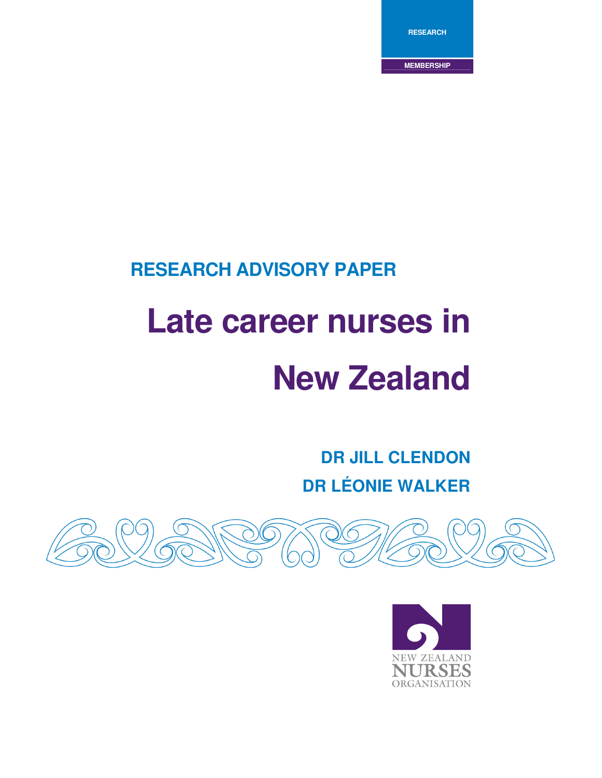**RESEARCH**

**MEMBERSHIP**

### **RESEARCH ADVISORY PAPER**

# **Late career nurses in New Zealand**

**DR JILL CLENDON DR LÉONIE WALKER**



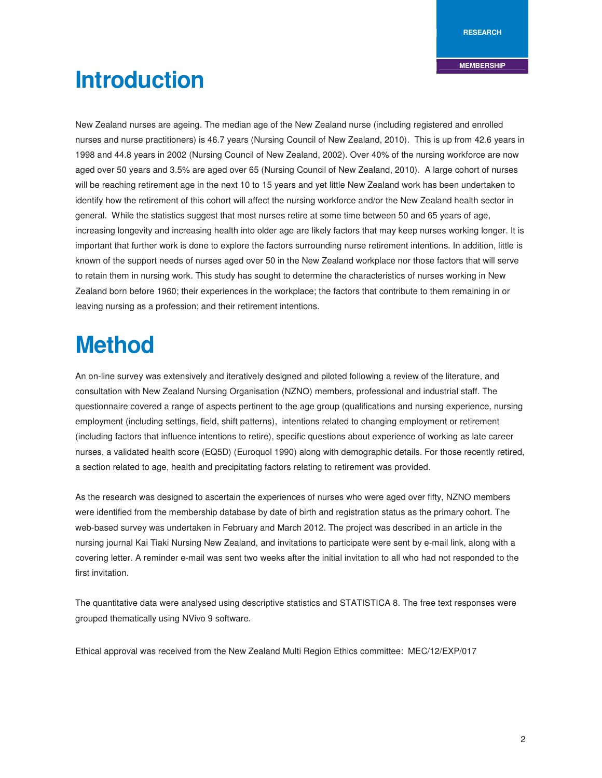# **Introduction**

New Zealand nurses are ageing. The median age of the New Zealand nurse (including registered and enrolled nurses and nurse practitioners) is 46.7 years (Nursing Council of New Zealand, 2010). This is up from 42.6 years in 1998 and 44.8 years in 2002 (Nursing Council of New Zealand, 2002). Over 40% of the nursing workforce are now aged over 50 years and 3.5% are aged over 65 (Nursing Council of New Zealand, 2010). A large cohort of nurses will be reaching retirement age in the next 10 to 15 years and yet little New Zealand work has been undertaken to identify how the retirement of this cohort will affect the nursing workforce and/or the New Zealand health sector in general. While the statistics suggest that most nurses retire at some time between 50 and 65 years of age, increasing longevity and increasing health into older age are likely factors that may keep nurses working longer. It is important that further work is done to explore the factors surrounding nurse retirement intentions. In addition, little is known of the support needs of nurses aged over 50 in the New Zealand workplace nor those factors that will serve to retain them in nursing work. This study has sought to determine the characteristics of nurses working in New Zealand born before 1960; their experiences in the workplace; the factors that contribute to them remaining in or leaving nursing as a profession; and their retirement intentions.

### **Method**

An on-line survey was extensively and iteratively designed and piloted following a review of the literature, and consultation with New Zealand Nursing Organisation (NZNO) members, professional and industrial staff. The questionnaire covered a range of aspects pertinent to the age group (qualifications and nursing experience, nursing employment (including settings, field, shift patterns), intentions related to changing employment or retirement (including factors that influence intentions to retire), specific questions about experience of working as late career nurses, a validated health score (EQ5D) (Euroquol 1990) along with demographic details. For those recently retired, a section related to age, health and precipitating factors relating to retirement was provided.

As the research was designed to ascertain the experiences of nurses who were aged over fifty, NZNO members were identified from the membership database by date of birth and registration status as the primary cohort. The web-based survey was undertaken in February and March 2012. The project was described in an article in the nursing journal Kai Tiaki Nursing New Zealand, and invitations to participate were sent by e-mail link, along with a covering letter. A reminder e-mail was sent two weeks after the initial invitation to all who had not responded to the first invitation.

The quantitative data were analysed using descriptive statistics and STATISTICA 8. The free text responses were grouped thematically using NVivo 9 software.

Ethical approval was received from the New Zealand Multi Region Ethics committee: MEC/12/EXP/017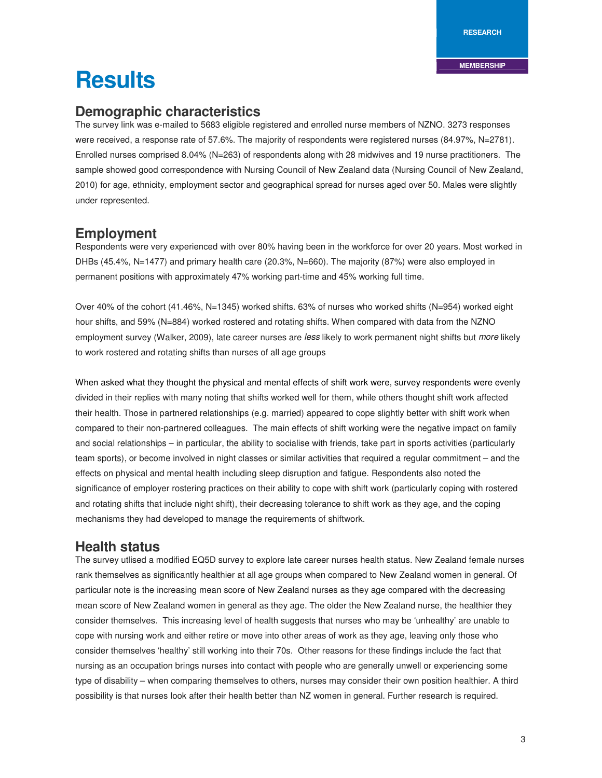**RESEARCH**

#### **MEMBERSHIP**

## **Results**

#### **Demographic characteristics**

The survey link was e-mailed to 5683 eligible registered and enrolled nurse members of NZNO. 3273 responses were received, a response rate of 57.6%. The majority of respondents were registered nurses (84.97%, N=2781). Enrolled nurses comprised 8.04% (N=263) of respondents along with 28 midwives and 19 nurse practitioners. The sample showed good correspondence with Nursing Council of New Zealand data (Nursing Council of New Zealand, 2010) for age, ethnicity, employment sector and geographical spread for nurses aged over 50. Males were slightly under represented.

#### **Employment**

Respondents were very experienced with over 80% having been in the workforce for over 20 years. Most worked in DHBs (45.4%, N=1477) and primary health care (20.3%, N=660). The majority (87%) were also employed in permanent positions with approximately 47% working part-time and 45% working full time.

Over 40% of the cohort (41.46%, N=1345) worked shifts. 63% of nurses who worked shifts (N=954) worked eight hour shifts, and 59% (N=884) worked rostered and rotating shifts. When compared with data from the NZNO employment survey (Walker, 2009), late career nurses are less likely to work permanent night shifts but more likely to work rostered and rotating shifts than nurses of all age groups

When asked what they thought the physical and mental effects of shift work were, survey respondents were evenly divided in their replies with many noting that shifts worked well for them, while others thought shift work affected their health. Those in partnered relationships (e.g. married) appeared to cope slightly better with shift work when compared to their non-partnered colleagues. The main effects of shift working were the negative impact on family and social relationships – in particular, the ability to socialise with friends, take part in sports activities (particularly team sports), or become involved in night classes or similar activities that required a regular commitment – and the effects on physical and mental health including sleep disruption and fatigue. Respondents also noted the significance of employer rostering practices on their ability to cope with shift work (particularly coping with rostered and rotating shifts that include night shift), their decreasing tolerance to shift work as they age, and the coping mechanisms they had developed to manage the requirements of shiftwork.

#### **Health status**

The survey utlised a modified EQ5D survey to explore late career nurses health status. New Zealand female nurses rank themselves as significantly healthier at all age groups when compared to New Zealand women in general. Of particular note is the increasing mean score of New Zealand nurses as they age compared with the decreasing mean score of New Zealand women in general as they age. The older the New Zealand nurse, the healthier they consider themselves. This increasing level of health suggests that nurses who may be 'unhealthy' are unable to cope with nursing work and either retire or move into other areas of work as they age, leaving only those who consider themselves 'healthy' still working into their 70s. Other reasons for these findings include the fact that nursing as an occupation brings nurses into contact with people who are generally unwell or experiencing some type of disability – when comparing themselves to others, nurses may consider their own position healthier. A third possibility is that nurses look after their health better than NZ women in general. Further research is required.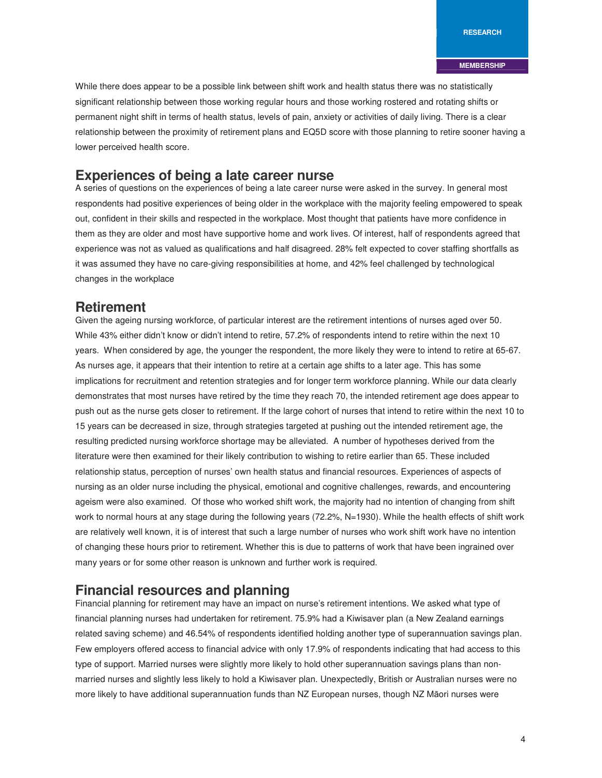While there does appear to be a possible link between shift work and health status there was no statistically significant relationship between those working regular hours and those working rostered and rotating shifts or permanent night shift in terms of health status, levels of pain, anxiety or activities of daily living. There is a clear relationship between the proximity of retirement plans and EQ5D score with those planning to retire sooner having a lower perceived health score.

#### **Experiences of being a late career nurse**

A series of questions on the experiences of being a late career nurse were asked in the survey. In general most respondents had positive experiences of being older in the workplace with the majority feeling empowered to speak out, confident in their skills and respected in the workplace. Most thought that patients have more confidence in them as they are older and most have supportive home and work lives. Of interest, half of respondents agreed that experience was not as valued as qualifications and half disagreed. 28% felt expected to cover staffing shortfalls as it was assumed they have no care-giving responsibilities at home, and 42% feel challenged by technological changes in the workplace

#### **Retirement**

Given the ageing nursing workforce, of particular interest are the retirement intentions of nurses aged over 50. While 43% either didn't know or didn't intend to retire, 57.2% of respondents intend to retire within the next 10 years. When considered by age, the younger the respondent, the more likely they were to intend to retire at 65-67. As nurses age, it appears that their intention to retire at a certain age shifts to a later age. This has some implications for recruitment and retention strategies and for longer term workforce planning. While our data clearly demonstrates that most nurses have retired by the time they reach 70, the intended retirement age does appear to push out as the nurse gets closer to retirement. If the large cohort of nurses that intend to retire within the next 10 to 15 years can be decreased in size, through strategies targeted at pushing out the intended retirement age, the resulting predicted nursing workforce shortage may be alleviated. A number of hypotheses derived from the literature were then examined for their likely contribution to wishing to retire earlier than 65. These included relationship status, perception of nurses' own health status and financial resources. Experiences of aspects of nursing as an older nurse including the physical, emotional and cognitive challenges, rewards, and encountering ageism were also examined. Of those who worked shift work, the majority had no intention of changing from shift work to normal hours at any stage during the following years (72.2%, N=1930). While the health effects of shift work are relatively well known, it is of interest that such a large number of nurses who work shift work have no intention of changing these hours prior to retirement. Whether this is due to patterns of work that have been ingrained over many years or for some other reason is unknown and further work is required.

#### **Financial resources and planning**

Financial planning for retirement may have an impact on nurse's retirement intentions. We asked what type of financial planning nurses had undertaken for retirement. 75.9% had a Kiwisaver plan (a New Zealand earnings related saving scheme) and 46.54% of respondents identified holding another type of superannuation savings plan. Few employers offered access to financial advice with only 17.9% of respondents indicating that had access to this type of support. Married nurses were slightly more likely to hold other superannuation savings plans than nonmarried nurses and slightly less likely to hold a Kiwisaver plan. Unexpectedly, British or Australian nurses were no more likely to have additional superannuation funds than NZ European nurses, though NZ Māori nurses were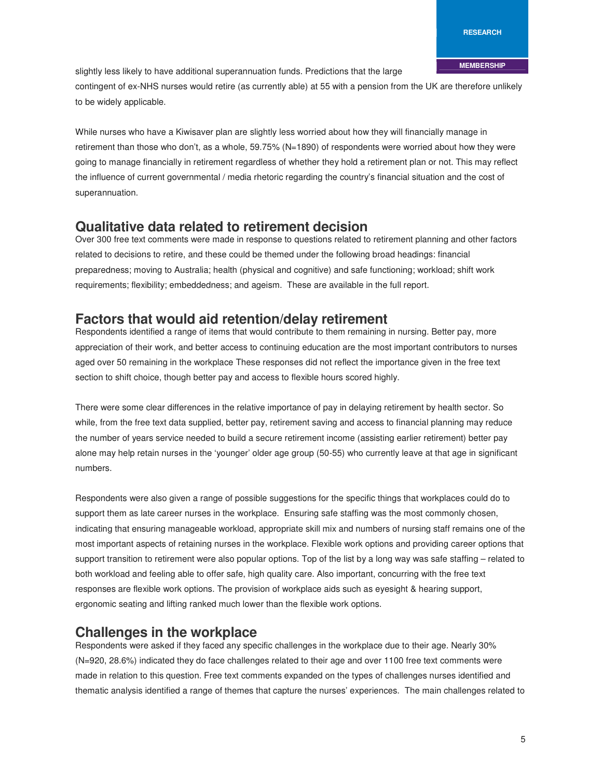slightly less likely to have additional superannuation funds. Predictions that the large

contingent of ex-NHS nurses would retire (as currently able) at 55 with a pension from the UK are therefore unlikely to be widely applicable.

While nurses who have a Kiwisaver plan are slightly less worried about how they will financially manage in retirement than those who don't, as a whole, 59.75% (N=1890) of respondents were worried about how they were going to manage financially in retirement regardless of whether they hold a retirement plan or not. This may reflect the influence of current governmental / media rhetoric regarding the country's financial situation and the cost of superannuation.

#### **Qualitative data related to retirement decision**

Over 300 free text comments were made in response to questions related to retirement planning and other factors related to decisions to retire, and these could be themed under the following broad headings: financial preparedness; moving to Australia; health (physical and cognitive) and safe functioning; workload; shift work requirements; flexibility; embeddedness; and ageism. These are available in the full report.

#### **Factors that would aid retention/delay retirement**

Respondents identified a range of items that would contribute to them remaining in nursing. Better pay, more appreciation of their work, and better access to continuing education are the most important contributors to nurses aged over 50 remaining in the workplace These responses did not reflect the importance given in the free text section to shift choice, though better pay and access to flexible hours scored highly.

There were some clear differences in the relative importance of pay in delaying retirement by health sector. So while, from the free text data supplied, better pay, retirement saving and access to financial planning may reduce the number of years service needed to build a secure retirement income (assisting earlier retirement) better pay alone may help retain nurses in the 'younger' older age group (50-55) who currently leave at that age in significant numbers.

Respondents were also given a range of possible suggestions for the specific things that workplaces could do to support them as late career nurses in the workplace. Ensuring safe staffing was the most commonly chosen, indicating that ensuring manageable workload, appropriate skill mix and numbers of nursing staff remains one of the most important aspects of retaining nurses in the workplace. Flexible work options and providing career options that support transition to retirement were also popular options. Top of the list by a long way was safe staffing – related to both workload and feeling able to offer safe, high quality care. Also important, concurring with the free text responses are flexible work options. The provision of workplace aids such as eyesight & hearing support, ergonomic seating and lifting ranked much lower than the flexible work options.

#### **Challenges in the workplace**

Respondents were asked if they faced any specific challenges in the workplace due to their age. Nearly 30% (N=920, 28.6%) indicated they do face challenges related to their age and over 1100 free text comments were made in relation to this question. Free text comments expanded on the types of challenges nurses identified and thematic analysis identified a range of themes that capture the nurses' experiences. The main challenges related to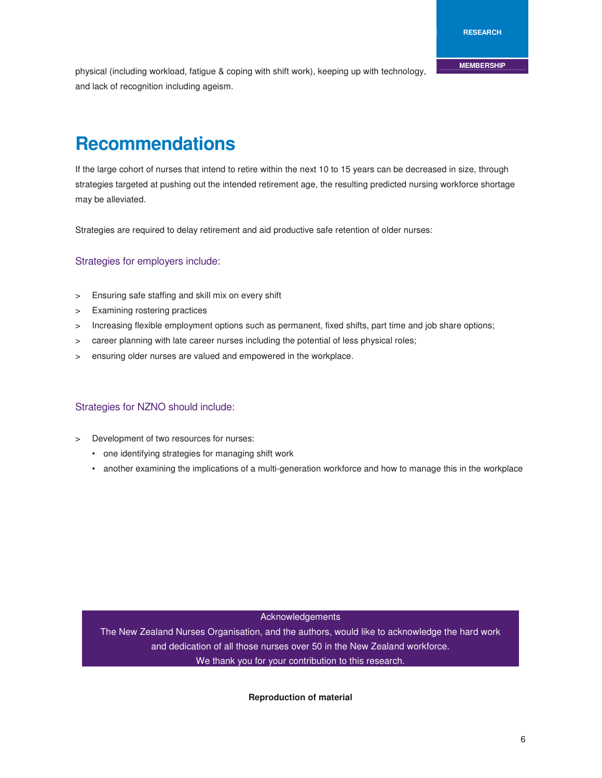physical (including workload, fatigue & coping with shift work), keeping up with technology, and lack of recognition including ageism.

### **Recommendations**

If the large cohort of nurses that intend to retire within the next 10 to 15 years can be decreased in size, through strategies targeted at pushing out the intended retirement age, the resulting predicted nursing workforce shortage may be alleviated.

Strategies are required to delay retirement and aid productive safe retention of older nurses:

#### Strategies for employers include:

- > Ensuring safe staffing and skill mix on every shift
- > Examining rostering practices
- > Increasing flexible employment options such as permanent, fixed shifts, part time and job share options;
- > career planning with late career nurses including the potential of less physical roles;
- > ensuring older nurses are valued and empowered in the workplace.

#### Strategies for NZNO should include:

- > Development of two resources for nurses:
	- one identifying strategies for managing shift work
	- another examining the implications of a multi-generation workforce and how to manage this in the workplace

Acknowledgements

The New Zealand Nurses Organisation, and the authors, would like to acknowledge the hard work and dedication of all those nurses over 50 in the New Zealand workforce. We thank you for your contribution to this research.

#### **Reproduction of material**